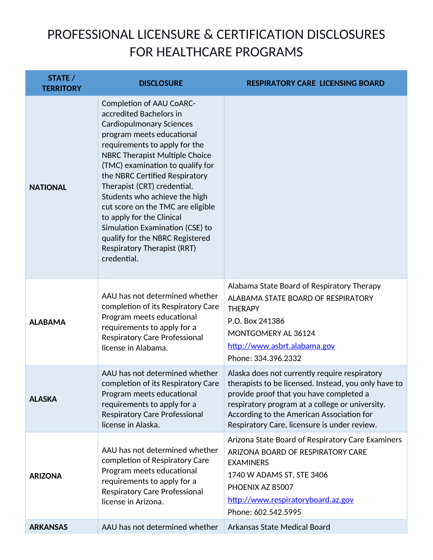## PROFESSIONAL LICENSURE & CERTIFICATION DISCLOSURES FOR HEALTHCARE PROGRAMS

| STATE /<br><b>TERRITORY</b> | <b>DISCLOSURE</b>                                                                                                                                                                                                                                                                                                                                                                                                                                                                                                                | <b>RESPIRATORY CARE LICENSING BOARD</b>                                                                                                                                                                                                                                                          |
|-----------------------------|----------------------------------------------------------------------------------------------------------------------------------------------------------------------------------------------------------------------------------------------------------------------------------------------------------------------------------------------------------------------------------------------------------------------------------------------------------------------------------------------------------------------------------|--------------------------------------------------------------------------------------------------------------------------------------------------------------------------------------------------------------------------------------------------------------------------------------------------|
| <b>NATIONAL</b>             | <b>Completion of AAU CoARC-</b><br>accredited Bachelors in<br><b>Cardiopulmonary Sciences</b><br>program meets educational<br>requirements to apply for the<br>NBRC Therapist Multiple Choice<br>(TMC) examination to qualify for<br>the NBRC Certified Respiratory<br>Therapist (CRT) credential.<br>Students who achieve the high<br>cut score on the TMC are eligible<br>to apply for the Clinical<br>Simulation Examination (CSE) to<br>qualify for the NBRC Registered<br><b>Respiratory Therapist (RRT)</b><br>credential. |                                                                                                                                                                                                                                                                                                  |
| <b>ALABAMA</b>              | AAU has not determined whether<br>completion of its Respiratory Care<br>Program meets educational<br>requirements to apply for a<br><b>Respiratory Care Professional</b><br>license in Alabama.                                                                                                                                                                                                                                                                                                                                  | Alabama State Board of Respiratory Therapy<br>ALABAMA STATE BOARD OF RESPIRATORY<br><b>THERAPY</b><br>P.O. Box 241386<br>MONTGOMERY AL 36124<br>http://www.asbrt.alabama.gov<br>Phone: 334.396.2332                                                                                              |
| <b>ALASKA</b>               | AAU has not determined whether<br>completion of its Respiratory Care<br>Program meets educational<br>requirements to apply for a<br><b>Respiratory Care Professional</b><br>license in Alaska.                                                                                                                                                                                                                                                                                                                                   | Alaska does not currently require respiratory<br>therapists to be licensed. Instead, you only have to<br>provide proof that you have completed a<br>respiratory program at a college or university.<br>According to the American Association for<br>Respiratory Care, licensure is under review. |
| <b>ARIZONA</b>              | AAU has not determined whether<br>completion of Respiratory Care<br>Program meets educational<br>requirements to apply for a<br><b>Respiratory Care Professional</b><br>license in Arizona.                                                                                                                                                                                                                                                                                                                                      | Arizona State Board of Respiratory Care Examiners<br>ARIZONA BOARD OF RESPIRATORY CARE<br><b>EXAMINERS</b><br>1740 W ADAMS ST, STE 3406<br>PHOENIX AZ 85007<br>http://www.respiratoryboard.az.gov<br>Phone: 602.542.5995                                                                         |
| <b>ARKANSAS</b>             | AAU has not determined whether                                                                                                                                                                                                                                                                                                                                                                                                                                                                                                   | Arkansas State Medical Board                                                                                                                                                                                                                                                                     |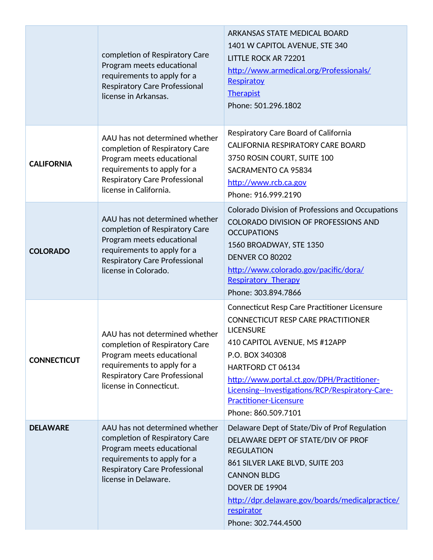|                    | completion of Respiratory Care<br>Program meets educational<br>requirements to apply for a<br><b>Respiratory Care Professional</b><br>license in Arkansas.                                      | <b>ARKANSAS STATE MEDICAL BOARD</b><br>1401 W CAPITOL AVENUE, STE 340<br><b>LITTLE ROCK AR 72201</b><br>http://www.armedical.org/Professionals/<br>Respiratoy<br><b>Therapist</b><br>Phone: 501.296.1802                                                                                                                                               |
|--------------------|-------------------------------------------------------------------------------------------------------------------------------------------------------------------------------------------------|--------------------------------------------------------------------------------------------------------------------------------------------------------------------------------------------------------------------------------------------------------------------------------------------------------------------------------------------------------|
| <b>CALIFORNIA</b>  | AAU has not determined whether<br>completion of Respiratory Care<br>Program meets educational<br>requirements to apply for a<br><b>Respiratory Care Professional</b><br>license in California.  | Respiratory Care Board of California<br><b>CALIFORNIA RESPIRATORY CARE BOARD</b><br>3750 ROSIN COURT, SUITE 100<br>SACRAMENTO CA 95834<br>http://www.rcb.ca.gov<br>Phone: 916.999.2190                                                                                                                                                                 |
| <b>COLORADO</b>    | AAU has not determined whether<br>completion of Respiratory Care<br>Program meets educational<br>requirements to apply for a<br><b>Respiratory Care Professional</b><br>license in Colorado.    | <b>Colorado Division of Professions and Occupations</b><br><b>COLORADO DIVISION OF PROFESSIONS AND</b><br><b>OCCUPATIONS</b><br>1560 BROADWAY, STE 1350<br><b>DENVER CO 80202</b><br>http://www.colorado.gov/pacific/dora/<br><b>Respiratory Therapy</b><br>Phone: 303.894.7866                                                                        |
| <b>CONNECTICUT</b> | AAU has not determined whether<br>completion of Respiratory Care<br>Program meets educational<br>requirements to apply for a<br><b>Respiratory Care Professional</b><br>license in Connecticut. | <b>Connecticut Resp Care Practitioner Licensure</b><br>CONNECTICUT RESP CARE PRACTITIONER<br><b>LICENSURE</b><br>410 CAPITOL AVENUE, MS #12APP<br>P.O. BOX 340308<br><b>HARTFORD CT 06134</b><br>http://www.portal.ct.gov/DPH/Practitioner-<br>Licensing--Investigations/RCP/Respiratory-Care-<br><b>Practitioner-Licensure</b><br>Phone: 860.509.7101 |
| <b>DELAWARE</b>    | AAU has not determined whether<br>completion of Respiratory Care<br>Program meets educational<br>requirements to apply for a<br>Respiratory Care Professional<br>license in Delaware.           | Delaware Dept of State/Div of Prof Regulation<br>DELAWARE DEPT OF STATE/DIV OF PROF<br><b>REGULATION</b><br>861 SILVER LAKE BLVD, SUITE 203<br><b>CANNON BLDG</b><br><b>DOVER DE 19904</b><br>http://dpr.delaware.gov/boards/medicalpractice/<br>respirator<br>Phone: 302.744.4500                                                                     |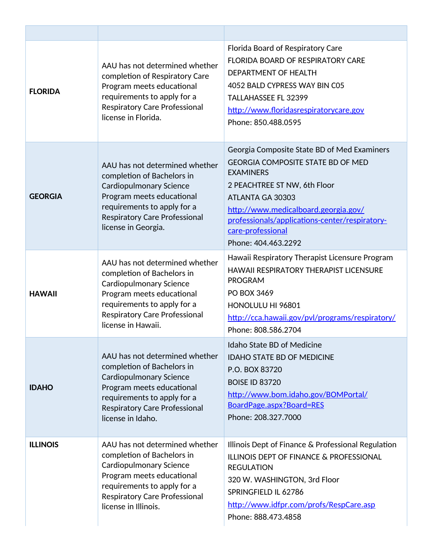| <b>FLORIDA</b>  | AAU has not determined whether<br>completion of Respiratory Care<br>Program meets educational<br>requirements to apply for a<br><b>Respiratory Care Professional</b><br>license in Florida.                                | Florida Board of Respiratory Care<br><b>FLORIDA BOARD OF RESPIRATORY CARE</b><br>DEPARTMENT OF HEALTH<br>4052 BALD CYPRESS WAY BIN C05<br><b>TALLAHASSEE FL 32399</b><br>http://www.floridasrespiratorycare.gov<br>Phone: 850.488.0595                                                                |
|-----------------|----------------------------------------------------------------------------------------------------------------------------------------------------------------------------------------------------------------------------|-------------------------------------------------------------------------------------------------------------------------------------------------------------------------------------------------------------------------------------------------------------------------------------------------------|
| <b>GEORGIA</b>  | AAU has not determined whether<br>completion of Bachelors in<br><b>Cardiopulmonary Science</b><br>Program meets educational<br>requirements to apply for a<br><b>Respiratory Care Professional</b><br>license in Georgia.  | Georgia Composite State BD of Med Examiners<br><b>GEORGIA COMPOSITE STATE BD OF MED</b><br><b>EXAMINERS</b><br>2 PEACHTREE ST NW, 6th Floor<br>ATLANTA GA 30303<br>http://www.medicalboard.georgia.gov/<br>professionals/applications-center/respiratory-<br>care-professional<br>Phone: 404.463.2292 |
| <b>HAWAII</b>   | AAU has not determined whether<br>completion of Bachelors in<br><b>Cardiopulmonary Science</b><br>Program meets educational<br>requirements to apply for a<br><b>Respiratory Care Professional</b><br>license in Hawaii.   | Hawaii Respiratory Therapist Licensure Program<br><b>HAWAII RESPIRATORY THERAPIST LICENSURE</b><br><b>PROGRAM</b><br>PO BOX 3469<br>HONOLULU HI 96801<br>http://cca.hawaii.gov/pvl/programs/respiratory/<br>Phone: 808.586.2704                                                                       |
| <b>IDAHO</b>    | AAU has not determined whether<br>completion of Bachelors in<br><b>Cardiopulmonary Science</b><br>Program meets educational<br>requirements to apply for a<br><b>Respiratory Care Professional</b><br>license in Idaho.    | <b>Idaho State BD of Medicine</b><br><b>IDAHO STATE BD OF MEDICINE</b><br>P.O. BOX 83720<br><b>BOISE ID 83720</b><br>http://www.bom.idaho.gov/BOMPortal/<br>BoardPage.aspx?Board=RES<br>Phone: 208.327.7000                                                                                           |
| <b>ILLINOIS</b> | AAU has not determined whether<br>completion of Bachelors in<br><b>Cardiopulmonary Science</b><br>Program meets educational<br>requirements to apply for a<br><b>Respiratory Care Professional</b><br>license in Illinois. | Illinois Dept of Finance & Professional Regulation<br><b>ILLINOIS DEPT OF FINANCE &amp; PROFESSIONAL</b><br><b>REGULATION</b><br>320 W. WASHINGTON, 3rd Floor<br>SPRINGFIELD IL 62786<br>http://www.idfpr.com/profs/RespCare.asp<br>Phone: 888.473.4858                                               |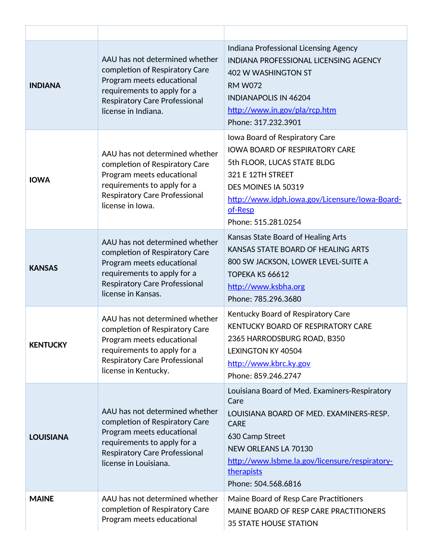| <b>INDIANA</b>   | AAU has not determined whether<br>completion of Respiratory Care<br>Program meets educational<br>requirements to apply for a<br><b>Respiratory Care Professional</b><br>license in Indiana.  | Indiana Professional Licensing Agency<br><b>INDIANA PROFESSIONAL LICENSING AGENCY</b><br>402 W WASHINGTON ST<br><b>RM W072</b><br><b>INDIANAPOLIS IN 46204</b><br>http://www.in.gov/pla/rcp.htm<br>Phone: 317.232.3901                                   |
|------------------|----------------------------------------------------------------------------------------------------------------------------------------------------------------------------------------------|----------------------------------------------------------------------------------------------------------------------------------------------------------------------------------------------------------------------------------------------------------|
| <b>IOWA</b>      | AAU has not determined whether<br>completion of Respiratory Care<br>Program meets educational<br>requirements to apply for a<br><b>Respiratory Care Professional</b><br>license in Iowa.     | Iowa Board of Respiratory Care<br><b>IOWA BOARD OF RESPIRATORY CARE</b><br>5th FLOOR, LUCAS STATE BLDG<br>321 E 12TH STREET<br>DES MOINES IA 50319<br>http://www.idph.iowa.gov/Licensure/Iowa-Board-<br>of-Resp<br>Phone: 515.281.0254                   |
| <b>KANSAS</b>    | AAU has not determined whether<br>completion of Respiratory Care<br>Program meets educational<br>requirements to apply for a<br><b>Respiratory Care Professional</b><br>license in Kansas.   | Kansas State Board of Healing Arts<br>KANSAS STATE BOARD OF HEALING ARTS<br>800 SW JACKSON, LOWER LEVEL-SUITE A<br>TOPEKA KS 66612<br>http://www.ksbha.org<br>Phone: 785.296.3680                                                                        |
| <b>KENTUCKY</b>  | AAU has not determined whether<br>completion of Respiratory Care<br>Program meets educational<br>requirements to apply for a<br><b>Respiratory Care Professional</b><br>license in Kentucky. | Kentucky Board of Respiratory Care<br>KENTUCKY BOARD OF RESPIRATORY CARE<br>2365 HARRODSBURG ROAD, B350<br><b>LEXINGTON KY 40504</b><br>http://www.kbrc.ky.gov<br>Phone: 859.246.2747                                                                    |
| <b>LOUISIANA</b> | AAU has not determined whether<br>completion of Respiratory Care<br>Program meets educational<br>requirements to apply for a<br>Respiratory Care Professional<br>license in Louisiana.       | Louisiana Board of Med. Examiners-Respiratory<br>Care<br>LOUISIANA BOARD OF MED. EXAMINERS-RESP.<br><b>CARE</b><br>630 Camp Street<br><b>NEW ORLEANS LA 70130</b><br>http://www.lsbme.la.gov/licensure/respiratory-<br>therapists<br>Phone: 504.568.6816 |
| <b>MAINE</b>     | AAU has not determined whether<br>completion of Respiratory Care<br>Program meets educational                                                                                                | Maine Board of Resp Care Practitioners<br>MAINE BOARD OF RESP CARE PRACTITIONERS<br><b>35 STATE HOUSE STATION</b>                                                                                                                                        |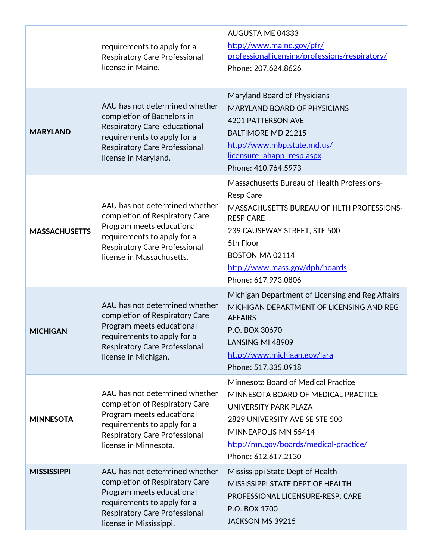|                      | requirements to apply for a<br><b>Respiratory Care Professional</b><br>license in Maine.                                                                                                          | AUGUSTA ME 04333<br>http://www.maine.gov/pfr/<br>professionallicensing/professions/respiratory/<br>Phone: 207.624.8626                                                                                                                                           |
|----------------------|---------------------------------------------------------------------------------------------------------------------------------------------------------------------------------------------------|------------------------------------------------------------------------------------------------------------------------------------------------------------------------------------------------------------------------------------------------------------------|
| <b>MARYLAND</b>      | AAU has not determined whether<br>completion of Bachelors in<br>Respiratory Care educational<br>requirements to apply for a<br><b>Respiratory Care Professional</b><br>license in Maryland.       | Maryland Board of Physicians<br><b>MARYLAND BOARD OF PHYSICIANS</b><br><b>4201 PATTERSON AVE</b><br><b>BALTIMORE MD 21215</b><br>http://www.mbp.state.md.us/<br>licensure ahapp resp.aspx<br>Phone: 410.764.5973                                                 |
| <b>MASSACHUSETTS</b> | AAU has not determined whether<br>completion of Respiratory Care<br>Program meets educational<br>requirements to apply for a<br><b>Respiratory Care Professional</b><br>license in Massachusetts. | Massachusetts Bureau of Health Professions-<br><b>Resp Care</b><br><b>MASSACHUSETTS BUREAU OF HLTH PROFESSIONS-</b><br><b>RESP CARE</b><br>239 CAUSEWAY STREET, STE 500<br>5th Floor<br>BOSTON MA 02114<br>http://www.mass.gov/dph/boards<br>Phone: 617.973.0806 |
| <b>MICHIGAN</b>      | AAU has not determined whether<br>completion of Respiratory Care<br>Program meets educational<br>requirements to apply for a<br><b>Respiratory Care Professional</b><br>license in Michigan.      | Michigan Department of Licensing and Reg Affairs<br>MICHIGAN DEPARTMENT OF LICENSING AND REG<br><b>AFFAIRS</b><br>P.O. BOX 30670<br>LANSING MI 48909<br>http://www.michigan.gov/lara<br>Phone: 517.335.0918                                                      |
| <b>MINNESOTA</b>     | AAU has not determined whether<br>completion of Respiratory Care<br>Program meets educational<br>requirements to apply for a<br><b>Respiratory Care Professional</b><br>license in Minnesota.     | Minnesota Board of Medical Practice<br>MINNESOTA BOARD OF MEDICAL PRACTICE<br>UNIVERSITY PARK PLAZA<br>2829 UNIVERSITY AVE SE STE 500<br>MINNEAPOLIS MN 55414<br>http://mn.gov/boards/medical-practice/<br>Phone: 612.617.2130                                   |
| <b>MISSISSIPPI</b>   | AAU has not determined whether<br>completion of Respiratory Care<br>Program meets educational<br>requirements to apply for a<br><b>Respiratory Care Professional</b><br>license in Mississippi.   | Mississippi State Dept of Health<br>MISSISSIPPI STATE DEPT OF HEALTH<br>PROFESSIONAL LICENSURE-RESP. CARE<br>P.O. BOX 1700<br>JACKSON MS 39215                                                                                                                   |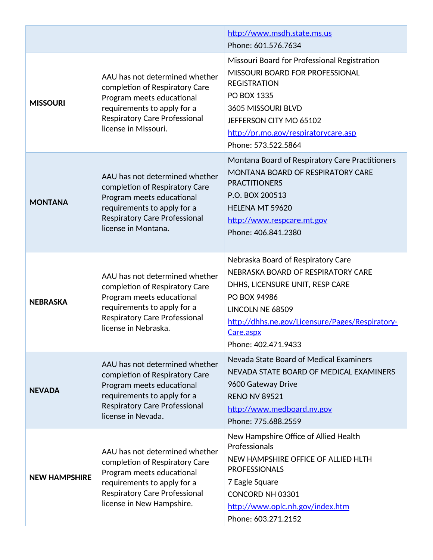|                      |                                                                                                                                                                                                   | http://www.msdh.state.ms.us<br>Phone: 601.576.7634                                                                                                                                                                                           |
|----------------------|---------------------------------------------------------------------------------------------------------------------------------------------------------------------------------------------------|----------------------------------------------------------------------------------------------------------------------------------------------------------------------------------------------------------------------------------------------|
| <b>MISSOURI</b>      | AAU has not determined whether<br>completion of Respiratory Care<br>Program meets educational<br>requirements to apply for a<br><b>Respiratory Care Professional</b><br>license in Missouri.      | Missouri Board for Professional Registration<br><b>MISSOURI BOARD FOR PROFESSIONAL</b><br><b>REGISTRATION</b><br>PO BOX 1335<br>3605 MISSOURI BLVD<br>JEFFERSON CITY MO 65102<br>http://pr.mo.gov/respiratorycare.asp<br>Phone: 573.522.5864 |
| <b>MONTANA</b>       | AAU has not determined whether<br>completion of Respiratory Care<br>Program meets educational<br>requirements to apply for a<br><b>Respiratory Care Professional</b><br>license in Montana.       | Montana Board of Respiratory Care Practitioners<br>MONTANA BOARD OF RESPIRATORY CARE<br><b>PRACTITIONERS</b><br>P.O. BOX 200513<br>HELENA MT 59620<br>http://www.respcare.mt.gov<br>Phone: 406.841.2380                                      |
| <b>NEBRASKA</b>      | AAU has not determined whether<br>completion of Respiratory Care<br>Program meets educational<br>requirements to apply for a<br><b>Respiratory Care Professional</b><br>license in Nebraska.      | Nebraska Board of Respiratory Care<br>NEBRASKA BOARD OF RESPIRATORY CARE<br>DHHS, LICENSURE UNIT, RESP CARE<br>PO BOX 94986<br>LINCOLN NE 68509<br>http://dhhs.ne.gov/Licensure/Pages/Respiratory-<br>Care.aspx<br>Phone: 402.471.9433       |
| <b>NEVADA</b>        | AAU has not determined whether<br>completion of Respiratory Care<br>Program meets educational<br>requirements to apply for a<br><b>Respiratory Care Professional</b><br>license in Nevada.        | Nevada State Board of Medical Examiners<br>NEVADA STATE BOARD OF MEDICAL EXAMINERS<br>9600 Gateway Drive<br><b>RENO NV 89521</b><br>http://www.medboard.nv.gov<br>Phone: 775.688.2559                                                        |
| <b>NEW HAMPSHIRE</b> | AAU has not determined whether<br>completion of Respiratory Care<br>Program meets educational<br>requirements to apply for a<br><b>Respiratory Care Professional</b><br>license in New Hampshire. | New Hampshire Office of Allied Health<br>Professionals<br>NEW HAMPSHIRE OFFICE OF ALLIED HLTH<br><b>PROFESSIONALS</b><br>7 Eagle Square<br>CONCORD NH 03301<br>http://www.oplc.nh.gov/index.htm<br>Phone: 603.271.2152                       |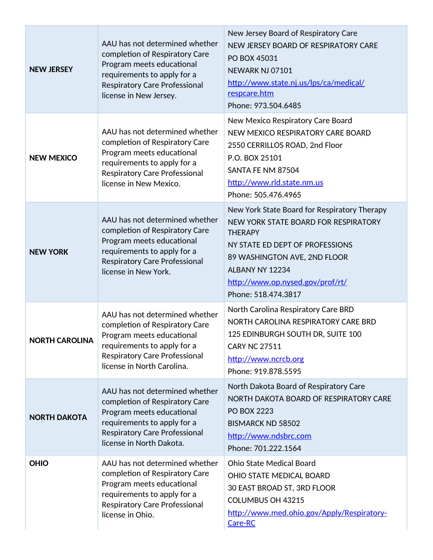| <b>NEW JERSEY</b>     | AAU has not determined whether<br>completion of Respiratory Care<br>Program meets educational<br>requirements to apply for a<br><b>Respiratory Care Professional</b><br>license in New Jersey.     | New Jersey Board of Respiratory Care<br>NEW JERSEY BOARD OF RESPIRATORY CARE<br>PO BOX 45031<br>NEWARK NJ 07101<br>http://www.state.nj.us/lps/ca/medical/<br>respcare.htm<br>Phone: 973.504.6485                                                        |
|-----------------------|----------------------------------------------------------------------------------------------------------------------------------------------------------------------------------------------------|---------------------------------------------------------------------------------------------------------------------------------------------------------------------------------------------------------------------------------------------------------|
| <b>NEW MEXICO</b>     | AAU has not determined whether<br>completion of Respiratory Care<br>Program meets educational<br>requirements to apply for a<br><b>Respiratory Care Professional</b><br>license in New Mexico.     | New Mexico Respiratory Care Board<br>NEW MEXICO RESPIRATORY CARE BOARD<br>2550 CERRILLOS ROAD, 2nd Floor<br>P.O. BOX 25101<br>SANTA FE NM 87504<br>http://www.rld.state.nm.us<br>Phone: 505.476.4965                                                    |
| <b>NEW YORK</b>       | AAU has not determined whether<br>completion of Respiratory Care<br>Program meets educational<br>requirements to apply for a<br><b>Respiratory Care Professional</b><br>license in New York.       | New York State Board for Respiratory Therapy<br>NEW YORK STATE BOARD FOR RESPIRATORY<br><b>THERAPY</b><br>NY STATE ED DEPT OF PROFESSIONS<br>89 WASHINGTON AVE, 2ND FLOOR<br>ALBANY NY 12234<br>http://www.op.nysed.gov/prof/rt/<br>Phone: 518.474.3817 |
| <b>NORTH CAROLINA</b> | AAU has not determined whether<br>completion of Respiratory Care<br>Program meets educational<br>requirements to apply for a<br><b>Respiratory Care Professional</b><br>license in North Carolina. | North Carolina Respiratory Care BRD<br>NORTH CAROLINA RESPIRATORY CARE BRD<br>125 EDINBURGH SOUTH DR, SUITE 100<br><b>CARY NC 27511</b><br>http://www.ncrcb.org<br>Phone: 919.878.5595                                                                  |
| <b>NORTH DAKOTA</b>   | AAU has not determined whether<br>completion of Respiratory Care<br>Program meets educational<br>requirements to apply for a<br><b>Respiratory Care Professional</b><br>license in North Dakota.   | North Dakota Board of Respiratory Care<br>NORTH DAKOTA BOARD OF RESPIRATORY CARE<br><b>PO BOX 2223</b><br><b>BISMARCK ND 58502</b><br>http://www.ndsbrc.com<br>Phone: 701.222.1564                                                                      |
| <b>OHIO</b>           | AAU has not determined whether<br>completion of Respiratory Care<br>Program meets educational<br>requirements to apply for a<br><b>Respiratory Care Professional</b><br>license in Ohio.           | <b>Ohio State Medical Board</b><br>OHIO STATE MEDICAL BOARD<br>30 EAST BROAD ST, 3RD FLOOR<br>COLUMBUS OH 43215<br>http://www.med.ohio.gov/Apply/Respiratory-<br>Care-RC                                                                                |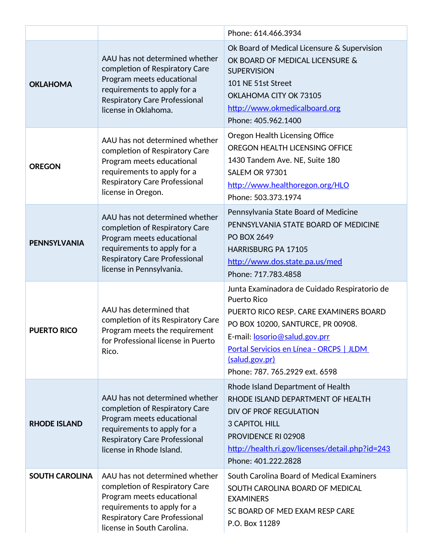|                       |                                                                                                                                                                                                    | Phone: 614.466.3934                                                                                                                                                                                                                                                                |
|-----------------------|----------------------------------------------------------------------------------------------------------------------------------------------------------------------------------------------------|------------------------------------------------------------------------------------------------------------------------------------------------------------------------------------------------------------------------------------------------------------------------------------|
| <b>OKLAHOMA</b>       | AAU has not determined whether<br>completion of Respiratory Care<br>Program meets educational<br>requirements to apply for a<br><b>Respiratory Care Professional</b><br>license in Oklahoma.       | Ok Board of Medical Licensure & Supervision<br>OK BOARD OF MEDICAL LICENSURE &<br><b>SUPERVISION</b><br>101 NE 51st Street<br>OKLAHOMA CITY OK 73105<br>http://www.okmedicalboard.org<br>Phone: 405.962.1400                                                                       |
| <b>OREGON</b>         | AAU has not determined whether<br>completion of Respiratory Care<br>Program meets educational<br>requirements to apply for a<br><b>Respiratory Care Professional</b><br>license in Oregon.         | Oregon Health Licensing Office<br>OREGON HEALTH LICENSING OFFICE<br>1430 Tandem Ave. NE, Suite 180<br><b>SALEM OR 97301</b><br>http://www.healthoregon.org/HLO<br>Phone: 503.373.1974                                                                                              |
| <b>PENNSYLVANIA</b>   | AAU has not determined whether<br>completion of Respiratory Care<br>Program meets educational<br>requirements to apply for a<br><b>Respiratory Care Professional</b><br>license in Pennsylvania.   | Pennsylvania State Board of Medicine<br>PENNSYLVANIA STATE BOARD OF MEDICINE<br><b>PO BOX 2649</b><br><b>HARRISBURG PA 17105</b><br>http://www.dos.state.pa.us/med<br>Phone: 717.783.4858                                                                                          |
| <b>PUERTO RICO</b>    | AAU has determined that<br>completion of its Respiratory Care<br>Program meets the requirement<br>for Professional license in Puerto<br>Rico.                                                      | Junta Examinadora de Cuidado Respiratorio de<br><b>Puerto Rico</b><br>PUERTO RICO RESP. CARE EXAMINERS BOARD<br>PO BOX 10200, SANTURCE, PR 00908.<br>E-mail: losorio@salud.gov.prr<br>Portal Servicios en Línea - ORCPS   JLDM<br>(salud.gov.pr)<br>Phone: 787. 765.2929 ext. 6598 |
| <b>RHODE ISLAND</b>   | AAU has not determined whether<br>completion of Respiratory Care<br>Program meets educational<br>requirements to apply for a<br><b>Respiratory Care Professional</b><br>license in Rhode Island.   | Rhode Island Department of Health<br>RHODE ISLAND DEPARTMENT OF HEALTH<br>DIV OF PROF REGULATION<br><b>3 CAPITOL HILL</b><br>PROVIDENCE RI 02908<br>http://health.ri.gov/licenses/detail.php?id=243<br>Phone: 401.222.2828                                                         |
| <b>SOUTH CAROLINA</b> | AAU has not determined whether<br>completion of Respiratory Care<br>Program meets educational<br>requirements to apply for a<br><b>Respiratory Care Professional</b><br>license in South Carolina. | South Carolina Board of Medical Examiners<br>SOUTH CAROLINA BOARD OF MEDICAL<br><b>EXAMINERS</b><br>SC BOARD OF MED EXAM RESP CARE<br>P.O. Box 11289                                                                                                                               |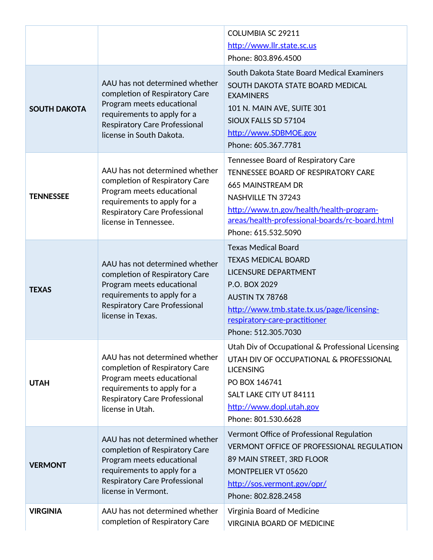|                     |                                                                                                                                                                                                  | COLUMBIA SC 29211<br>http://www.llr.state.sc.us<br>Phone: 803.896.4500                                                                                                                                                                            |
|---------------------|--------------------------------------------------------------------------------------------------------------------------------------------------------------------------------------------------|---------------------------------------------------------------------------------------------------------------------------------------------------------------------------------------------------------------------------------------------------|
| <b>SOUTH DAKOTA</b> | AAU has not determined whether<br>completion of Respiratory Care<br>Program meets educational<br>requirements to apply for a<br><b>Respiratory Care Professional</b><br>license in South Dakota. | South Dakota State Board Medical Examiners<br>SOUTH DAKOTA STATE BOARD MEDICAL<br><b>EXAMINERS</b><br>101 N. MAIN AVE, SUITE 301<br>SIOUX FALLS SD 57104<br>http://www.SDBMOE.gov<br>Phone: 605.367.7781                                          |
| <b>TENNESSEE</b>    | AAU has not determined whether<br>completion of Respiratory Care<br>Program meets educational<br>requirements to apply for a<br>Respiratory Care Professional<br>license in Tennessee.           | Tennessee Board of Respiratory Care<br><b>TENNESSEE BOARD OF RESPIRATORY CARE</b><br>665 MAINSTREAM DR<br>NASHVILLE TN 37243<br>http://www.tn.gov/health/health-program-<br>areas/health-professional-boards/rc-board.html<br>Phone: 615.532.5090 |
| <b>TEXAS</b>        | AAU has not determined whether<br>completion of Respiratory Care<br>Program meets educational<br>requirements to apply for a<br><b>Respiratory Care Professional</b><br>license in Texas.        | <b>Texas Medical Board</b><br><b>TEXAS MEDICAL BOARD</b><br><b>LICENSURE DEPARTMENT</b><br>P.O. BOX 2029<br><b>AUSTIN TX 78768</b><br>http://www.tmb.state.tx.us/page/licensing-<br>respiratory-care-practitioner<br>Phone: 512.305.7030          |
| <b>UTAH</b>         | AAU has not determined whether<br>completion of Respiratory Care<br>Program meets educational<br>requirements to apply for a<br>Respiratory Care Professional<br>license in Utah.                | Utah Div of Occupational & Professional Licensing<br>UTAH DIV OF OCCUPATIONAL & PROFESSIONAL<br><b>LICENSING</b><br>PO BOX 146741<br>SALT LAKE CITY UT 84111<br>http://www.dopl.utah.gov<br>Phone: 801.530.6628                                   |
| <b>VERMONT</b>      | AAU has not determined whether<br>completion of Respiratory Care<br>Program meets educational<br>requirements to apply for a<br><b>Respiratory Care Professional</b><br>license in Vermont.      | Vermont Office of Professional Regulation<br><b>VERMONT OFFICE OF PROFESSIONAL REGULATION</b><br>89 MAIN STREET, 3RD FLOOR<br>MONTPELIER VT 05620<br>http://sos.vermont.gov/opr/<br>Phone: 802.828.2458                                           |
| <b>VIRGINIA</b>     | AAU has not determined whether<br>completion of Respiratory Care                                                                                                                                 | Virginia Board of Medicine<br><b>VIRGINIA BOARD OF MEDICINE</b>                                                                                                                                                                                   |